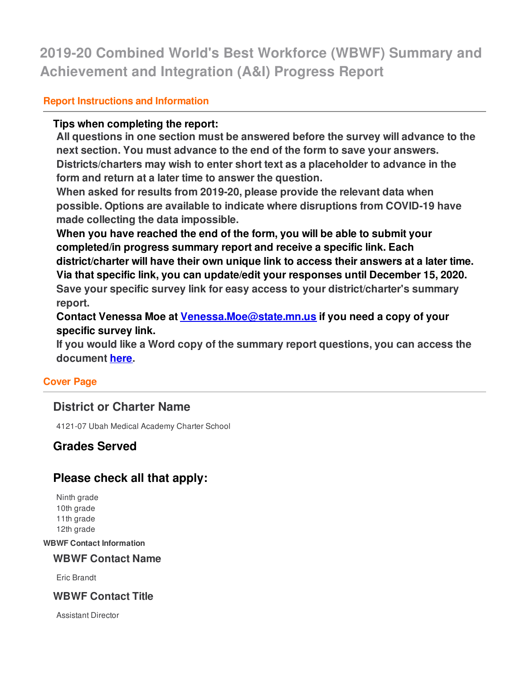# **2019-20 Combined World's Best Workforce (WBWF) Summary and Achievement and Integration (A&I) Progress Report**

### **Report Instructions and Information**

### **Tips when completing the report:**

**All questions in one section must be answered before the survey will advance to the next section. You must advance to the end of the form to save your answers. Districts/charters may wish to enter short text as a placeholder to advance in the form and return at a later time to answer the question.**

**When asked for results from 2019-20, please provide the relevant data when possible. Options are available to indicate where disruptions from COVID-19 have made collecting the data impossible.**

**When you have reached the end of the form, you will be able to submit your completed/in progress summary report and receive a specific link. Each district/charter will have their own unique link to access their answers at a later time. Via that specific link, you can update/edit your responses until December 15, 2020. Save your specific survey link for easy access to your district/charter's summary report.**

**Contact Venessa Moe at Venessa.Moe@state.mn.us if you need a copy of your specific survey link.**

**If you would like a Word copy of the summary report questions, you can access the document here.**

### **Cover Page**

## **District or Charter Name**

4121-07 Ubah Medical Academy Charter School

## **Grades Served**

## **Please check all that apply:**

Ninth grade 10th grade 11th grade 12th grade

**WBWF Contact Information**

### **WBWF Contact Name**

Eric Brandt

### **WBWF Contact Title**

Assistant Director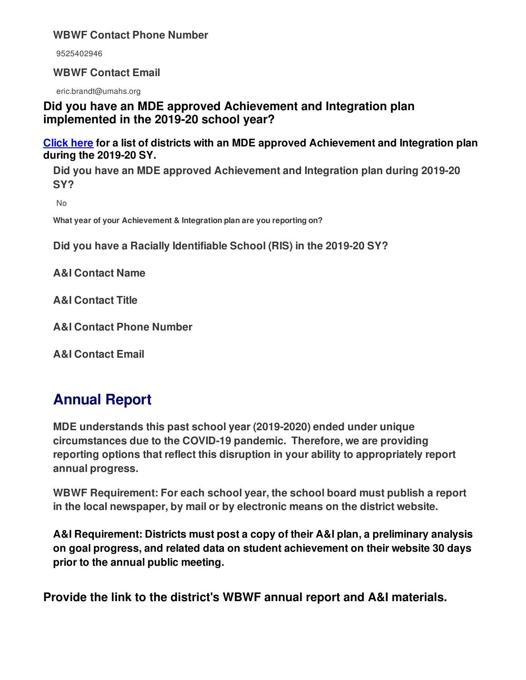### **WBWF Contact Phone Number**

9525402946

### **WBWF Contact Email**

eric.brandt@umahs.org

### **Did you have an MDE approved Achievement and Integration plan implemented in the 2019-20 school year?**

### **Click here for a list of districts with an MDE approved Achievement and Integration plan during the 2019-20 SY.**

**Did you have an MDE approved Achievement and Integration plan during 2019-20 SY?**

No

**What year of your Achievement & Integration plan are you reporting on?**

**Did you have a Racially Identifiable School (RIS) in the 2019-20 SY?**

**A&I Contact Name**

**A&I Contact Title**

**A&I Contact Phone Number**

**A&I Contact Email**

# **Annual Report**

**MDE understands this past school year (2019-2020) ended under unique circumstances due to the COVID-19 pandemic. Therefore, we are providing reporting options that reflect this disruption in your ability to appropriately report annual progress.**

**WBWF Requirement: For each school year, the school board must publish a report in the local newspaper, by mail or by electronic means on the district website.**

**A&I Requirement: Districts must post a copy of their A&I plan, a preliminary analysis on goal progress, and related data on student achievement on their website 30 days prior to the annual public meeting.**

**Provide the link to the district's WBWF annual report and A&I materials.**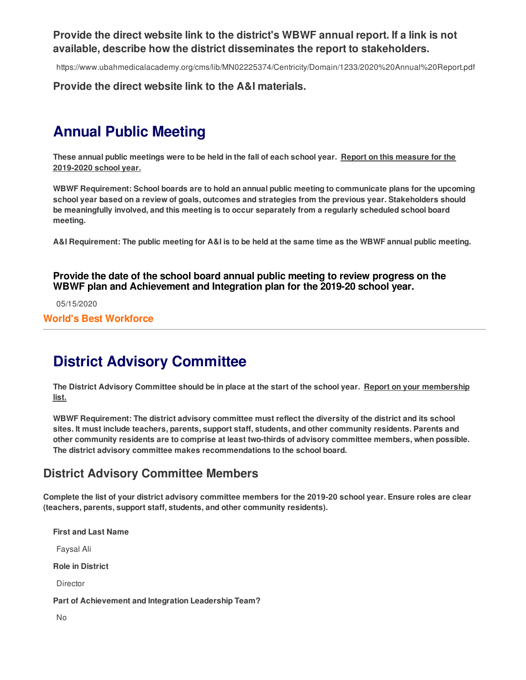**Provide the direct website link to the district's WBWF annual report. If a link is not available, describe how the district disseminates the report to stakeholders.**

https://www.ubahmedicalacademy.org/cms/lib/MN02225374/Centricity/Domain/1233/2020%20Annual%20Report.pdf

**Provide the direct website link to the A&I materials.**

# **Annual Public Meeting**

These annual public meetings were to be held in the fall of each school year. Report on this measure for the **2019-2020 school year.**

WBWF Requirement: School boards are to hold an annual public meeting to communicate plans for the upcoming school year based on a review of goals, outcomes and strategies from the previous year. Stakeholders should **be meaningfully involved, and this meeting is to occur separately from a regularly scheduled school board meeting.**

A&I Requirement: The public meeting for A&I is to be held at the same time as the WBWF annual public meeting.

#### **Provide the date of the school board annual public meeting to review progress on the WBWF plan and Achievement and Integration plan for the 2019-20 school year.**

05/15/2020

#### **World's Best Workforce**

# **District Advisory Committee**

The District Advisory Committee should be in place at the start of the school year. Report on your membership **list.**

**WBWF Requirement: The district advisory committee must reflect the diversity of the district and its school sites. It must include teachers, parents, support staff, students, and other community residents. Parents and other community residents are to comprise at least two-thirds of advisory committee members, when possible. The district advisory committee makes recommendations to the school board.**

## **District Advisory Committee Members**

Complete the list of your district advisory committee members for the 2019-20 school year. Ensure roles are clear **(teachers, parents, support staff, students, and other community residents).**

**First and Last Name** Faysal Ali **Role in District** Director

**Part of Achievement and Integration Leadership Team?**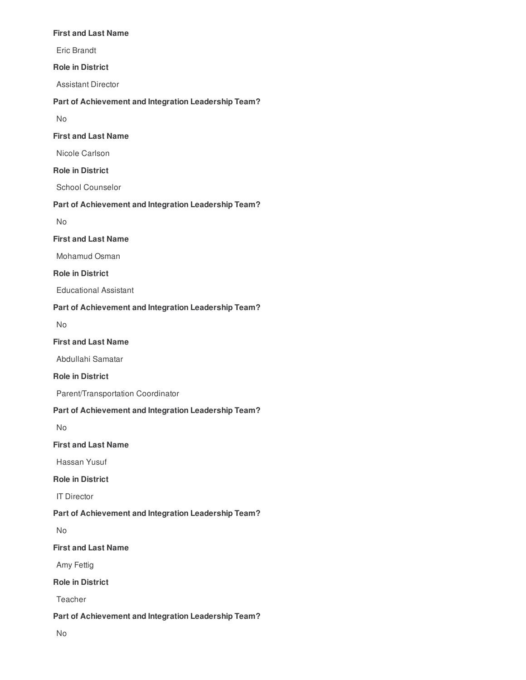#### **First and Last Name**

Eric Brandt

#### **Role in District**

Assistant Director

#### **Part of Achievement and Integration Leadership Team?**

No

#### **First and Last Name**

Nicole Carlson

#### **Role in District**

School Counselor

#### **Part of Achievement and Integration Leadership Team?**

No

#### **First and Last Name**

Mohamud Osman

#### **Role in District**

Educational Assistant

#### **Part of Achievement and Integration Leadership Team?**

No

#### **First and Last Name**

Abdullahi Samatar

#### **Role in District**

Parent/Transportation Coordinator

#### **Part of Achievement and Integration Leadership Team?**

No

#### **First and Last Name**

Hassan Yusuf

#### **Role in District**

IT Director

#### **Part of Achievement and Integration Leadership Team?**

No

#### **First and Last Name**

Amy Fettig

#### **Role in District**

Teacher

#### **Part of Achievement and Integration Leadership Team?**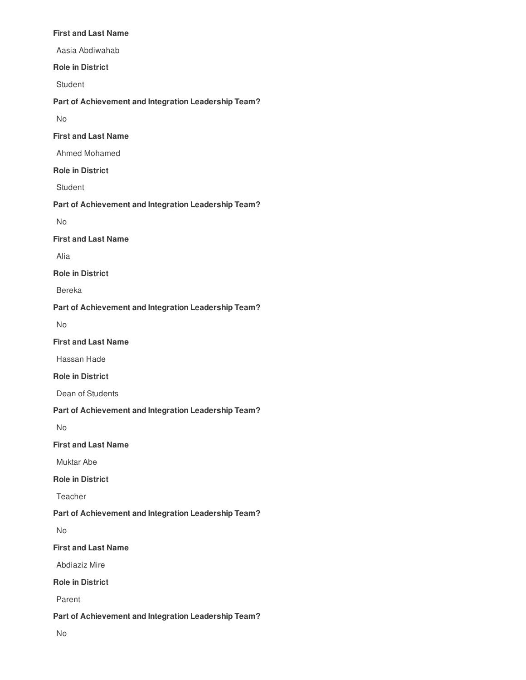#### **First and Last Name**

Aasia Abdiwahab

#### **Role in District**

Student

#### **Part of Achievement and Integration Leadership Team?**

No

#### **First and Last Name**

Ahmed Mohamed

#### **Role in District**

Student

#### **Part of Achievement and Integration Leadership Team?**

No

#### **First and Last Name**

Alia

#### **Role in District**

Bereka

#### **Part of Achievement and Integration Leadership Team?**

No

#### **First and Last Name**

Hassan Hade

#### **Role in District**

Dean of Students

#### **Part of Achievement and Integration Leadership Team?**

No

#### **First and Last Name**

Muktar Abe

#### **Role in District**

Teacher

#### **Part of Achievement and Integration Leadership Team?**

No

#### **First and Last Name**

Abdiaziz Mire

#### **Role in District**

Parent

#### **Part of Achievement and Integration Leadership Team?**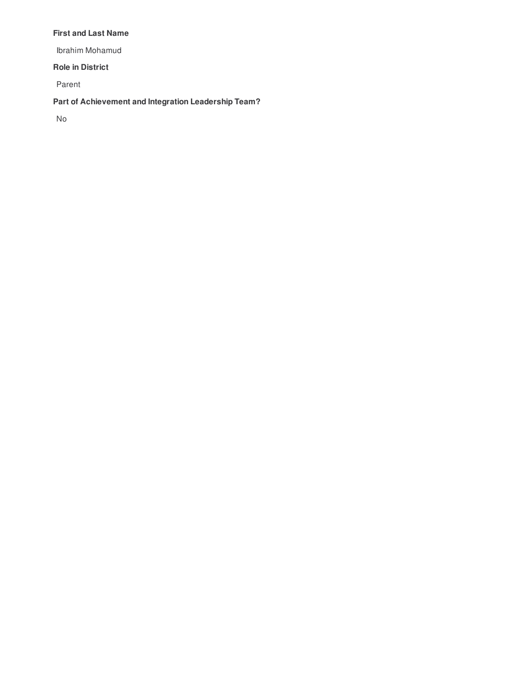#### **First and Last Name**

Ibrahim Mohamud

#### **Role in District**

Parent

### **Part of Achievement and Integration Leadership Team?**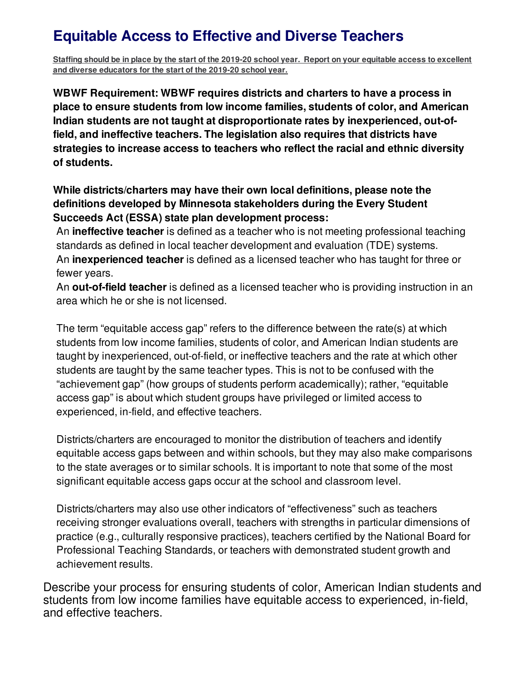# **Equitable Access to Effective and Diverse Teachers**

Staffing should be in place by the start of the 2019-20 school year. Report on your equitable access to excellent **and diverse educators for the start of the 2019-20 school year.**

**WBWF Requirement: WBWF requires districts and charters to have a process in place to ensure students from low income families, students of color, and American Indian students are not taught at disproportionate rates by inexperienced, out-offield, and ineffective teachers. The legislation also requires that districts have strategies to increase access to teachers who reflect the racial and ethnic diversity of students.**

### **While districts/charters may have their own local definitions, please note the definitions developed by Minnesota stakeholders during the Every Student Succeeds Act (ESSA) state plan development process:**

An **ineffective teacher** is defined as a teacher who is not meeting professional teaching standards as defined in local teacher development and evaluation (TDE) systems. An **inexperienced teacher** is defined as a licensed teacher who has taught for three or fewer years.

An **out-of-field teacher** is defined as a licensed teacher who is providing instruction in an area which he or she is not licensed.

The term "equitable access gap" refers to the difference between the rate(s) at which students from low income families, students of color, and American Indian students are taught by inexperienced, out-of-field, or ineffective teachers and the rate at which other students are taught by the same teacher types. This is not to be confused with the "achievement gap" (how groups of students perform academically); rather, "equitable access gap" is about which student groups have privileged or limited access to experienced, in-field, and effective teachers.

Districts/charters are encouraged to monitor the distribution of teachers and identify equitable access gaps between and within schools, but they may also make comparisons to the state averages or to similar schools. It is important to note that some of the most significant equitable access gaps occur at the school and classroom level.

Districts/charters may also use other indicators of "effectiveness" such as teachers receiving stronger evaluations overall, teachers with strengths in particular dimensions of practice (e.g., culturally responsive practices), teachers certified by the National Board for Professional Teaching Standards, or teachers with demonstrated student growth and achievement results.

Describe your process for ensuring students of color, American Indian students and students from low income families have equitable access to experienced, in-field, and effective teachers.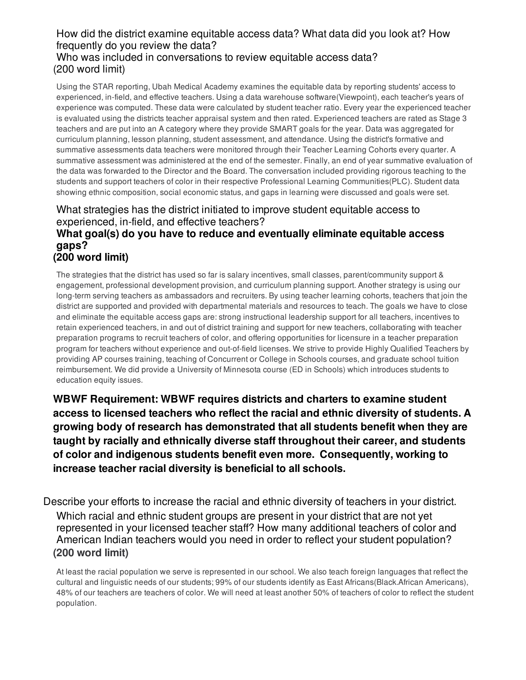### How did the district examine equitable access data? What data did you look at? How frequently do you review the data?

### Who was included in conversations to review equitable access data? (200 word limit)

Using the STAR reporting, Ubah Medical Academy examines the equitable data by reporting students' access to experienced, in-field, and effective teachers. Using a data warehouse software(Viewpoint), each teacher's years of experience was computed. These data were calculated by student teacher ratio. Every year the experienced teacher is evaluated using the districts teacher appraisal system and then rated. Experienced teachers are rated as Stage 3 teachers and are put into an A category where they provide SMART goals for the year. Data was aggregated for curriculum planning, lesson planning, student assessment, and attendance. Using the district's formative and summative assessments data teachers were monitored through their Teacher Learning Cohorts every quarter. A summative assessment was administered at the end of the semester. Finally, an end of year summative evaluation of the data was forwarded to the Director and the Board. The conversation included providing rigorous teaching to the students and support teachers of color in their respective Professional Learning Communities(PLC). Student data showing ethnic composition, social economic status, and gaps in learning were discussed and goals were set.

### What strategies has the district initiated to improve student equitable access to experienced, in-field, and effective teachers? **What goal(s) do you have to reduce and eventually eliminate equitable access gaps? (200 word limit)**

The strategies that the district has used so far is salary incentives, small classes, parent/community support & engagement, professional development provision, and curriculum planning support. Another strategy is using our long-term serving teachers as ambassadors and recruiters. By using teacher learning cohorts, teachers that join the district are supported and provided with departmental materials and resources to teach. The goals we have to close and eliminate the equitable access gaps are: strong instructional leadership support for all teachers, incentives to retain experienced teachers, in and out of district training and support for new teachers, collaborating with teacher preparation programs to recruit teachers of color, and offering opportunities for licensure in a teacher preparation program for teachers without experience and out-of-field licenses. We strive to provide Highly Qualified Teachers by providing AP courses training, teaching of Concurrent or College in Schools courses, and graduate school tuition reimbursement. We did provide a University of Minnesota course (ED in Schools) which introduces students to education equity issues.

**WBWF Requirement: WBWF requires districts and charters to examine student access to licensed teachers who reflect the racial and ethnic diversity of students. A growing body of research has demonstrated that all students benefit when they are taught by racially and ethnically diverse staff throughout their career, and students of color and indigenous students benefit even more. Consequently, working to increase teacher racial diversity is beneficial to all schools.**

Describe your efforts to increase the racial and ethnic diversity of teachers in your district.

Which racial and ethnic student groups are present in your district that are not yet represented in your licensed teacher staff? How many additional teachers of color and American Indian teachers would you need in order to reflect your student population? **(200 word limit)**

At least the racial population we serve is represented in our school. We also teach foreign languages that reflect the cultural and linguistic needs of our students; 99% of our students identify as East Africans(Black.African Americans), 48% of our teachers are teachers of color. We will need at least another 50% of teachers of color to reflect the student population.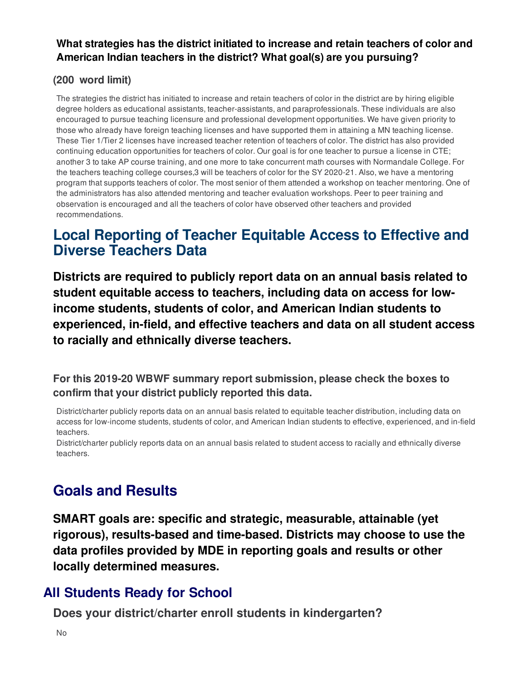## **What strategies has the district initiated to increase and retain teachers of color and American Indian teachers in the district? What goal(s) are you pursuing?**

### **(200 word limit)**

The strategies the district has initiated to increase and retain teachers of color in the district are by hiring eligible degree holders as educational assistants, teacher-assistants, and paraprofessionals. These individuals are also encouraged to pursue teaching licensure and professional development opportunities. We have given priority to those who already have foreign teaching licenses and have supported them in attaining a MN teaching license. These Tier 1/Tier 2 licenses have increased teacher retention of teachers of color. The district has also provided continuing education opportunities for teachers of color. Our goal is for one teacher to pursue a license in CTE; another 3 to take AP course training, and one more to take concurrent math courses with Normandale College. For the teachers teaching college courses,3 will be teachers of color for the SY 2020-21. Also, we have a mentoring program that supports teachers of color. The most senior of them attended a workshop on teacher mentoring. One of the administrators has also attended mentoring and teacher evaluation workshops. Peer to peer training and observation is encouraged and all the teachers of color have observed other teachers and provided recommendations.

# **Local Reporting of Teacher Equitable Access to Effective and Diverse Teachers Data**

**Districts are required to publicly report data on an annual basis related to student equitable access to teachers, including data on access for lowincome students, students of color, and American Indian students to experienced, in-field, and effective teachers and data on all student access to racially and ethnically diverse teachers.**

**For this 2019-20 WBWF summary report submission, please check the boxes to confirm that your district publicly reported this data.**

District/charter publicly reports data on an annual basis related to equitable teacher distribution, including data on access for low-income students, students of color, and American Indian students to effective, experienced, and in-field teachers.

District/charter publicly reports data on an annual basis related to student access to racially and ethnically diverse teachers.

# **Goals and Results**

**SMART goals are: specific and strategic, measurable, attainable (yet rigorous), results-based and time-based. Districts may choose to use the data profiles provided by MDE in reporting goals and results or other locally determined measures.**

## **All Students Ready for School**

**Does your district/charter enroll students in kindergarten?**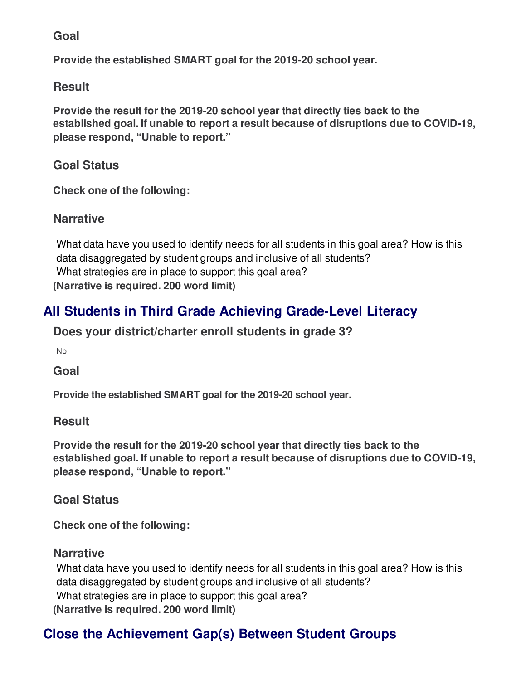**Goal**

**Provide the established SMART goal for the 2019-20 school year.**

## **Result**

**Provide the result for the 2019-20 school year that directly ties back to the established goal. If unable to report a result because of disruptions due to COVID-19, please respond, "Unable to report."**

## **Goal Status**

**Check one of the following:**

## **Narrative**

What data have you used to identify needs for all students in this goal area? How is this data disaggregated by student groups and inclusive of all students? What strategies are in place to support this goal area? **(Narrative is required. 200 word limit)**

# **All Students in Third Grade Achieving Grade-Level Literacy**

## **Does your district/charter enroll students in grade 3?**

No

**Goal**

**Provide the established SMART goal for the 2019-20 school year.**

## **Result**

**Provide the result for the 2019-20 school year that directly ties back to the established goal. If unable to report a result because of disruptions due to COVID-19, please respond, "Unable to report."**

## **Goal Status**

**Check one of the following:**

## **Narrative**

What data have you used to identify needs for all students in this goal area? How is this data disaggregated by student groups and inclusive of all students? What strategies are in place to support this goal area? **(Narrative is required. 200 word limit)**

# **Close the Achievement Gap(s) Between Student Groups**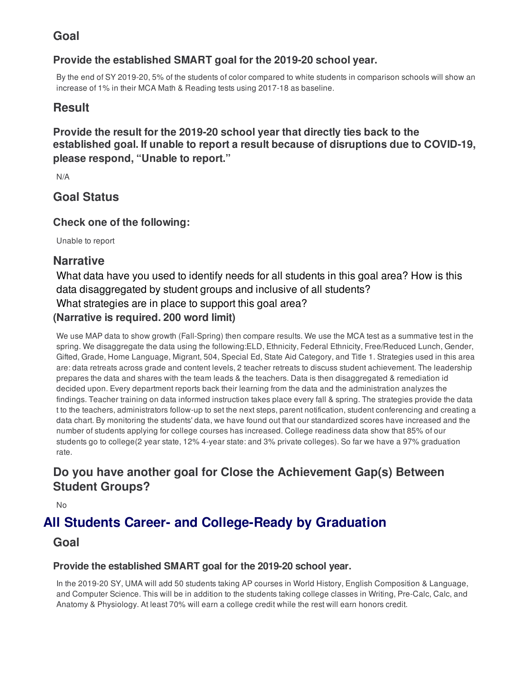## **Goal**

### **Provide the established SMART goal for the 2019-20 school year.**

By the end of SY 2019-20, 5% of the students of color compared to white students in comparison schools will show an increase of 1% in their MCA Math & Reading tests using 2017-18 as baseline.

## **Result**

**Provide the result for the 2019-20 school year that directly ties back to the established goal. If unable to report a result because of disruptions due to COVID-19, please respond, "Unable to report."**

N/A

## **Goal Status**

### **Check one of the following:**

Unable to report

### **Narrative**

What data have you used to identify needs for all students in this goal area? How is this data disaggregated by student groups and inclusive of all students? What strategies are in place to support this goal area? **(Narrative is required. 200 word limit)**

We use MAP data to show growth (Fall-Spring) then compare results. We use the MCA test as a summative test in the spring. We disaggregate the data using the following:ELD, Ethnicity, Federal Ethnicity, Free/Reduced Lunch, Gender, Gifted, Grade, Home Language, Migrant, 504, Special Ed, State Aid Category, and Title 1. Strategies used in this area are: data retreats across grade and content levels, 2 teacher retreats to discuss student achievement. The leadership prepares the data and shares with the team leads & the teachers. Data is then disaggregated & remediation id decided upon. Every department reports back their learning from the data and the administration analyzes the findings. Teacher training on data informed instruction takes place every fall & spring. The strategies provide the data t to the teachers, administrators follow-up to set the next steps, parent notification, student conferencing and creating a data chart. By monitoring the students' data, we have found out that our standardized scores have increased and the number of students applying for college courses has increased. College readiness data show that 85% of our students go to college(2 year state, 12% 4-year state: and 3% private colleges). So far we have a 97% graduation rate.

## **Do you have another goal for Close the Achievement Gap(s) Between Student Groups?**

No

# **All Students Career- and College-Ready by Graduation**

### **Goal**

### **Provide the established SMART goal for the 2019-20 school year.**

In the 2019-20 SY, UMA will add 50 students taking AP courses in World History, English Composition & Language, and Computer Science. This will be in addition to the students taking college classes in Writing, Pre-Calc, Calc, and Anatomy & Physiology. At least 70% will earn a college credit while the rest will earn honors credit.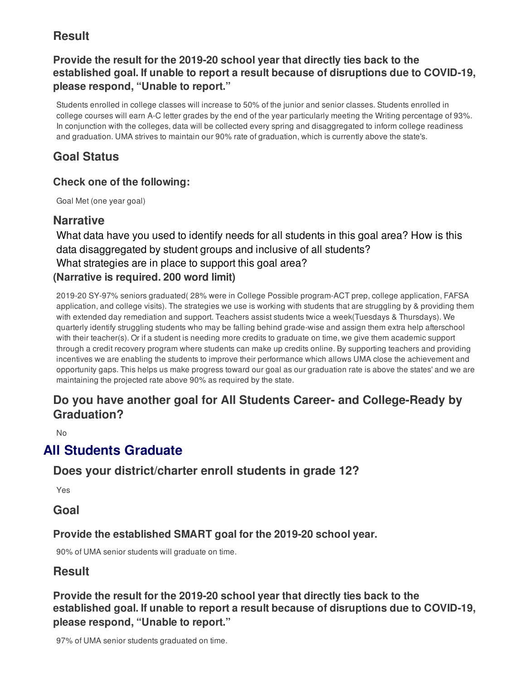## **Result**

### **Provide the result for the 2019-20 school year that directly ties back to the established goal. If unable to report a result because of disruptions due to COVID-19, please respond, "Unable to report."**

Students enrolled in college classes will increase to 50% of the junior and senior classes. Students enrolled in college courses will earn A-C letter grades by the end of the year particularly meeting the Writing percentage of 93%. In conjunction with the colleges, data will be collected every spring and disaggregated to inform college readiness and graduation. UMA strives to maintain our 90% rate of graduation, which is currently above the state's.

## **Goal Status**

### **Check one of the following:**

Goal Met (one year goal)

## **Narrative**

What data have you used to identify needs for all students in this goal area? How is this data disaggregated by student groups and inclusive of all students? What strategies are in place to support this goal area? **(Narrative is required. 200 word limit)**

2019-20 SY-97% seniors graduated( 28% were in College Possible program-ACT prep, college application, FAFSA application, and college visits). The strategies we use is working with students that are struggling by & providing them with extended day remediation and support. Teachers assist students twice a week(Tuesdays & Thursdays). We quarterly identify struggling students who may be falling behind grade-wise and assign them extra help afterschool with their teacher(s). Or if a student is needing more credits to graduate on time, we give them academic support through a credit recovery program where students can make up credits online. By supporting teachers and providing incentives we are enabling the students to improve their performance which allows UMA close the achievement and opportunity gaps. This helps us make progress toward our goal as our graduation rate is above the states' and we are maintaining the projected rate above 90% as required by the state.

## **Do you have another goal for All Students Career- and College-Ready by Graduation?**

No

# **All Students Graduate**

## **Does your district/charter enroll students in grade 12?**

Yes

**Goal**

### **Provide the established SMART goal for the 2019-20 school year.**

90% of UMA senior students will graduate on time.

## **Result**

**Provide the result for the 2019-20 school year that directly ties back to the established goal. If unable to report a result because of disruptions due to COVID-19, please respond, "Unable to report."**

97% of UMA senior students graduated on time.